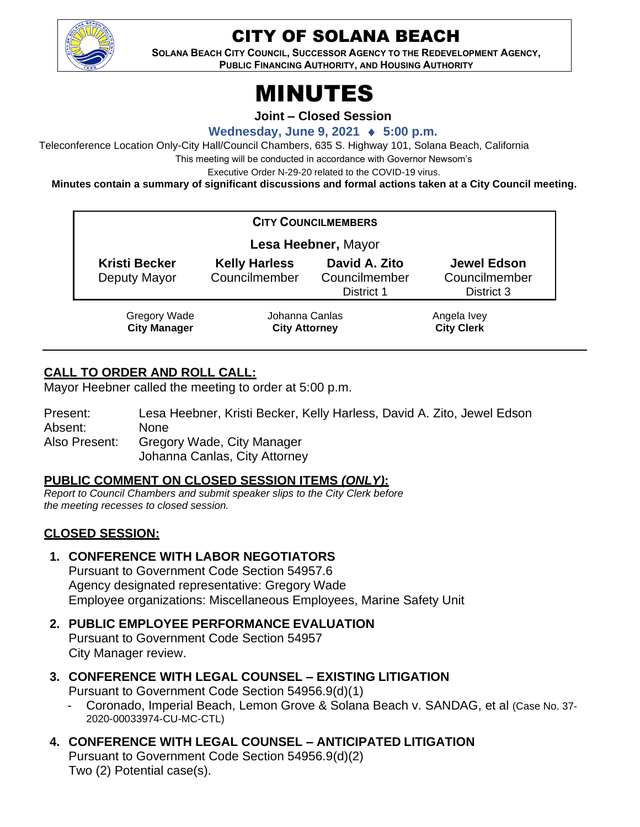

# CITY OF SOLANA BEACH

**SOLANA BEACH CITY COUNCIL, SUCCESSOR AGENCY TO THE REDEVELOPMENT AGENCY, PUBLIC FINANCING AUTHORITY, AND HOUSING AUTHORITY** 

# MINUTES

**Joint – Closed Session**

**Wednesday, June 9, 2021 ♦ 5:00 p.m.** 

Teleconference Location Only-City Hall/Council Chambers, 635 S. Highway 101, Solana Beach, California

This meeting will be conducted in accordance with Governor Newsom's

Executive Order N-29-20 related to the COVID-19 virus.

**Minutes contain a summary of significant discussions and formal actions taken at a City Council meeting.**

| <b>CITY COUNCILMEMBERS</b>                 |                                        |                                              |                                                   |
|--------------------------------------------|----------------------------------------|----------------------------------------------|---------------------------------------------------|
| Lesa Heebner, Mayor                        |                                        |                                              |                                                   |
| <b>Kristi Becker</b><br>Deputy Mayor       | <b>Kelly Harless</b><br>Councilmember  | David A. Zito<br>Councilmember<br>District 1 | <b>Jewel Edson</b><br>Councilmember<br>District 3 |
| <b>Gregory Wade</b><br><b>City Manager</b> | Johanna Canlas<br><b>City Attorney</b> |                                              | Angela Ivey<br><b>City Clerk</b>                  |

### **CALL TO ORDER AND ROLL CALL:**

Mayor Heebner called the meeting to order at 5:00 p.m.

Present: Lesa Heebner, Kristi Becker, Kelly Harless, David A. Zito, Jewel Edson Absent: None Also Present: Gregory Wade, City Manager Johanna Canlas, City Attorney

#### **PUBLIC COMMENT ON CLOSED SESSION ITEMS** *(ONLY)***:**

*Report to Council Chambers and submit speaker slips to the City Clerk before the meeting recesses to closed session.*

## **CLOSED SESSION:**

#### **1. CONFERENCE WITH LABOR NEGOTIATORS**

Pursuant to Government Code Section 54957.6 Agency designated representative: Gregory Wade Employee organizations: Miscellaneous Employees, Marine Safety Unit

# **2. PUBLIC EMPLOYEE PERFORMANCE EVALUATION**

Pursuant to Government Code Section 54957 City Manager review.

- **3. CONFERENCE WITH LEGAL COUNSEL – EXISTING LITIGATION** Pursuant to Government Code Section 54956.9(d)(1)
	- Coronado, Imperial Beach, Lemon Grove & Solana Beach v. SANDAG, et al (Case No. 37- 2020-00033974-CU-MC-CTL)
- **4. CONFERENCE WITH LEGAL COUNSEL – ANTICIPATED LITIGATION** Pursuant to Government Code Section 54956.9(d)(2) Two (2) Potential case(s).